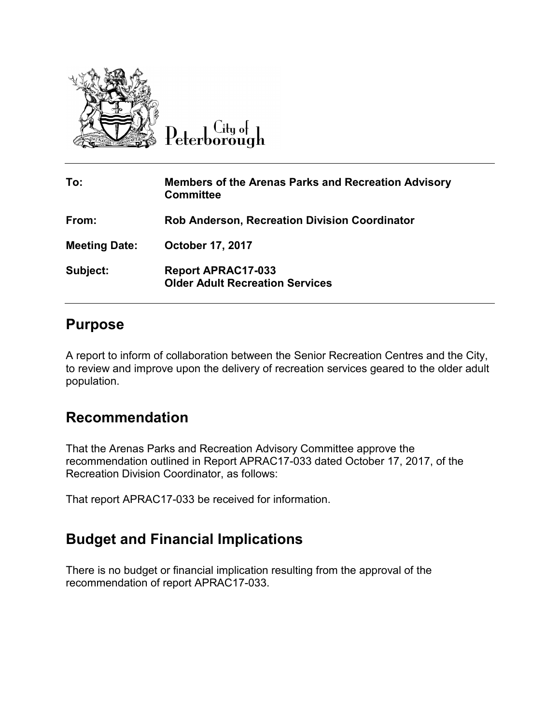

Peterborough

| To:                  | <b>Members of the Arenas Parks and Recreation Advisory</b><br><b>Committee</b> |
|----------------------|--------------------------------------------------------------------------------|
| From:                | <b>Rob Anderson, Recreation Division Coordinator</b>                           |
| <b>Meeting Date:</b> | <b>October 17, 2017</b>                                                        |
| Subject:             | <b>Report APRAC17-033</b><br><b>Older Adult Recreation Services</b>            |

## **Purpose**

A report to inform of collaboration between the Senior Recreation Centres and the City, to review and improve upon the delivery of recreation services geared to the older adult population.

## **Recommendation**

That the Arenas Parks and Recreation Advisory Committee approve the recommendation outlined in Report APRAC17-033 dated October 17, 2017, of the Recreation Division Coordinator, as follows:

That report APRAC17-033 be received for information.

## **Budget and Financial Implications**

There is no budget or financial implication resulting from the approval of the recommendation of report APRAC17-033.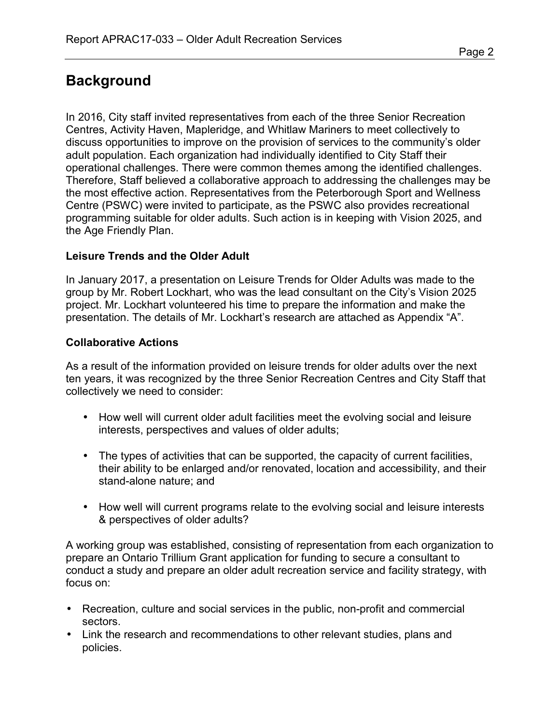# **Background**

In 2016, City staff invited representatives from each of the three Senior Recreation Centres, Activity Haven, Mapleridge, and Whitlaw Mariners to meet collectively to discuss opportunities to improve on the provision of services to the community's older adult population. Each organization had individually identified to City Staff their operational challenges. There were common themes among the identified challenges. Therefore, Staff believed a collaborative approach to addressing the challenges may be the most effective action. Representatives from the Peterborough Sport and Wellness Centre (PSWC) were invited to participate, as the PSWC also provides recreational programming suitable for older adults. Such action is in keeping with Vision 2025, and the Age Friendly Plan.

#### **Leisure Trends and the Older Adult**

In January 2017, a presentation on Leisure Trends for Older Adults was made to the group by Mr. Robert Lockhart, who was the lead consultant on the City's Vision 2025 project. Mr. Lockhart volunteered his time to prepare the information and make the presentation. The details of Mr. Lockhart's research are attached as Appendix "A".

#### **Collaborative Actions**

As a result of the information provided on leisure trends for older adults over the next ten years, it was recognized by the three Senior Recreation Centres and City Staff that collectively we need to consider:

- How well will current older adult facilities meet the evolving social and leisure interests, perspectives and values of older adults;
- The types of activities that can be supported, the capacity of current facilities, their ability to be enlarged and/or renovated, location and accessibility, and their stand-alone nature; and
- How well will current programs relate to the evolving social and leisure interests & perspectives of older adults?

A working group was established, consisting of representation from each organization to prepare an Ontario Trillium Grant application for funding to secure a consultant to conduct a study and prepare an older adult recreation service and facility strategy, with focus on:

- Recreation, culture and social services in the public, non-profit and commercial sectors.
- Link the research and recommendations to other relevant studies, plans and policies.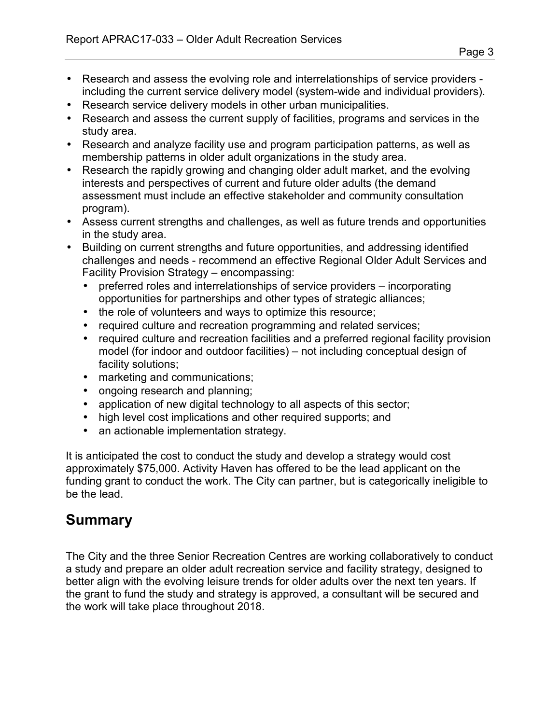- Research and assess the evolving role and interrelationships of service providers including the current service delivery model (system-wide and individual providers).
- Research service delivery models in other urban municipalities.
- Research and assess the current supply of facilities, programs and services in the study area.
- Research and analyze facility use and program participation patterns, as well as membership patterns in older adult organizations in the study area.
- Research the rapidly growing and changing older adult market, and the evolving interests and perspectives of current and future older adults (the demand assessment must include an effective stakeholder and community consultation program).
- Assess current strengths and challenges, as well as future trends and opportunities in the study area.
- Building on current strengths and future opportunities, and addressing identified challenges and needs - recommend an effective Regional Older Adult Services and Facility Provision Strategy – encompassing:
	- preferred roles and interrelationships of service providers incorporating opportunities for partnerships and other types of strategic alliances;
	- the role of volunteers and ways to optimize this resource;
	- required culture and recreation programming and related services;
	- required culture and recreation facilities and a preferred regional facility provision model (for indoor and outdoor facilities) – not including conceptual design of facility solutions;
	- marketing and communications;
	- ongoing research and planning;
	- application of new digital technology to all aspects of this sector;
	- high level cost implications and other required supports; and
	- an actionable implementation strategy.

It is anticipated the cost to conduct the study and develop a strategy would cost approximately \$75,000. Activity Haven has offered to be the lead applicant on the funding grant to conduct the work. The City can partner, but is categorically ineligible to be the lead.

## **Summary**

The City and the three Senior Recreation Centres are working collaboratively to conduct a study and prepare an older adult recreation service and facility strategy, designed to better align with the evolving leisure trends for older adults over the next ten years. If the grant to fund the study and strategy is approved, a consultant will be secured and the work will take place throughout 2018.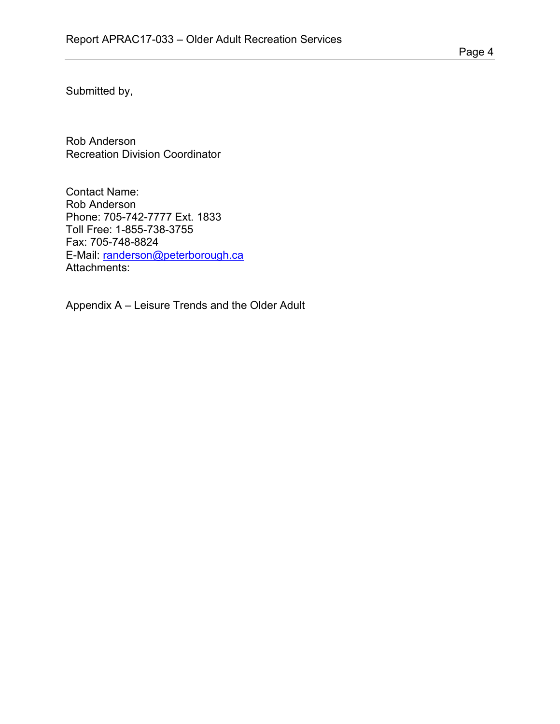Submitted by,

Rob Anderson Recreation Division Coordinator

Contact Name: Rob Anderson Phone: 705-742-7777 Ext. 1833 Toll Free: 1-855-738-3755 Fax: 705-748-8824 E-Mail: randerson@peterborough.ca Attachments:

Appendix A – Leisure Trends and the Older Adult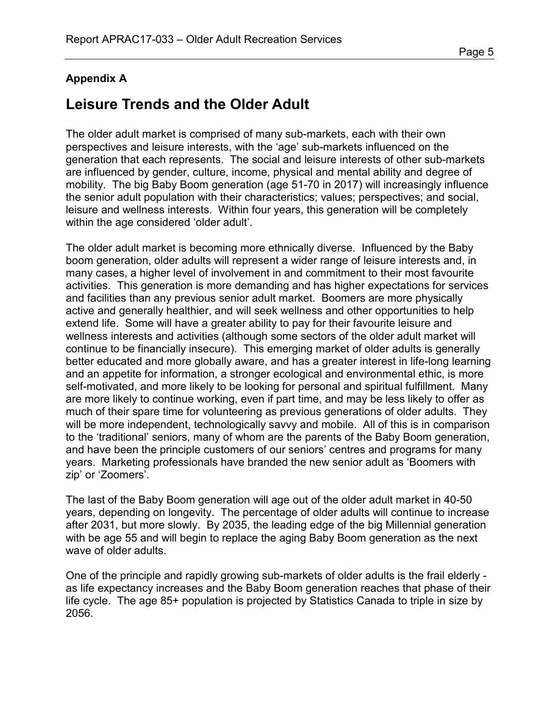### **Appendix A**

# **Leisure Trends and the Older Adult**

The older adult market is comprised of many sub-markets, each with their own perspectives and leisure interests, with the 'age' sub-markets influenced on the generation that each represents. The social and leisure interests of other sub-markets are influenced by gender, culture, income, physical and mental ability and degree of mobility. The big Baby Boom generation (age 51-70 in 2017) will increasingly influence the senior adult population with their characteristics; values; perspectives; and social, leisure and wellness interests. Within four years, this generation will be completely within the age considered 'older adult'.

The older adult market is becoming more ethnically diverse. Influenced by the Baby boom generation, older adults will represent a wider range of leisure interests and, in many cases, a higher level of involvement in and commitment to their most favourite activities. This generation is more demanding and has higher expectations for services and facilities than any previous senior adult market. Boomers are more physically active and generally healthier, and will seek wellness and other opportunities to help extend life. Some will have a greater ability to pay for their favourite leisure and wellness interests and activities (although some sectors of the older adult market will continue to be financially insecure). This emerging market of older adults is generally better educated and more globally aware, and has a greater interest in life-long learning and an appetite for information, a stronger ecological and environmental ethic, is more self-motivated, and more likely to be looking for personal and spiritual fulfillment. Many are more likely to continue working, even if part time, and may be less likely to offer as much of their spare time for volunteering as previous generations of older adults. They will be more independent, technologically savvy and mobile. All of this is in comparison to the 'traditional' seniors, many of whom are the parents of the Baby Boom generation, and have been the principle customers of our seniors' centres and programs for many years. Marketing professionals have branded the new senior adult as 'Boomers with zip' or 'Zoomers'.

The last of the Baby Boom generation will age out of the older adult market in 40-50 years, depending on longevity. The percentage of older adults will continue to increase after 2031, but more slowly. By 2035, the leading edge of the big Millennial generation with be age 55 and will begin to replace the aging Baby Boom generation as the next wave of older adults.

One of the principle and rapidly growing sub-markets of older adults is the frail elderly as life expectancy increases and the Baby Boom generation reaches that phase of their life cycle. The age 85+ population is projected by Statistics Canada to triple in size by 2056.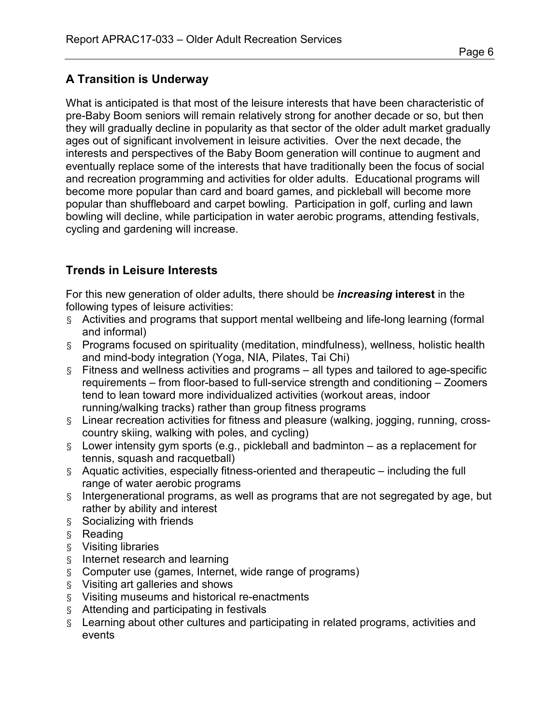## **A Transition is Underway**

What is anticipated is that most of the leisure interests that have been characteristic of pre-Baby Boom seniors will remain relatively strong for another decade or so, but then they will gradually decline in popularity as that sector of the older adult market gradually ages out of significant involvement in leisure activities. Over the next decade, the interests and perspectives of the Baby Boom generation will continue to augment and eventually replace some of the interests that have traditionally been the focus of social and recreation programming and activities for older adults. Educational programs will become more popular than card and board games, and pickleball will become more popular than shuffleboard and carpet bowling. Participation in golf, curling and lawn bowling will decline, while participation in water aerobic programs, attending festivals, cycling and gardening will increase.

### **Trends in Leisure Interests**

For this new generation of older adults, there should be *increasing* **interest** in the following types of leisure activities:

- § Activities and programs that support mental wellbeing and life-long learning (formal and informal)
- § Programs focused on spirituality (meditation, mindfulness), wellness, holistic health and mind-body integration (Yoga, NIA, Pilates, Tai Chi)
- § Fitness and wellness activities and programs all types and tailored to age-specific requirements – from floor-based to full-service strength and conditioning – Zoomers tend to lean toward more individualized activities (workout areas, indoor running/walking tracks) rather than group fitness programs
- § Linear recreation activities for fitness and pleasure (walking, jogging, running, crosscountry skiing, walking with poles, and cycling)
- § Lower intensity gym sports (e.g., pickleball and badminton as a replacement for tennis, squash and racquetball)
- § Aquatic activities, especially fitness-oriented and therapeutic including the full range of water aerobic programs
- § Intergenerational programs, as well as programs that are not segregated by age, but rather by ability and interest
- § Socializing with friends
- § Reading
- § Visiting libraries
- § Internet research and learning
- § Computer use (games, Internet, wide range of programs)
- § Visiting art galleries and shows
- § Visiting museums and historical re-enactments
- § Attending and participating in festivals
- § Learning about other cultures and participating in related programs, activities and events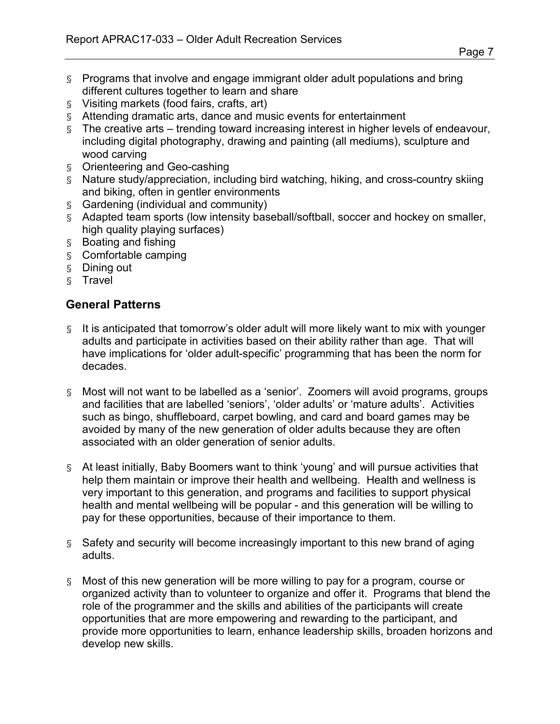- § Programs that involve and engage immigrant older adult populations and bring different cultures together to learn and share
- § Visiting markets (food fairs, crafts, art)
- § Attending dramatic arts, dance and music events for entertainment
- § The creative arts trending toward increasing interest in higher levels of endeavour, including digital photography, drawing and painting (all mediums), sculpture and wood carving
- § Orienteering and Geo-cashing
- § Nature study/appreciation, including bird watching, hiking, and cross-country skiing and biking, often in gentler environments
- § Gardening (individual and community)
- § Adapted team sports (low intensity baseball/softball, soccer and hockey on smaller, high quality playing surfaces)
- § Boating and fishing
- § Comfortable camping
- § Dining out
- § Travel

### **General Patterns**

- § It is anticipated that tomorrow's older adult will more likely want to mix with younger adults and participate in activities based on their ability rather than age. That will have implications for 'older adult-specific' programming that has been the norm for decades.
- § Most will not want to be labelled as a 'senior'. Zoomers will avoid programs, groups and facilities that are labelled 'seniors', 'older adults' or 'mature adults'. Activities such as bingo, shuffleboard, carpet bowling, and card and board games may be avoided by many of the new generation of older adults because they are often associated with an older generation of senior adults.
- § At least initially, Baby Boomers want to think 'young' and will pursue activities that help them maintain or improve their health and wellbeing. Health and wellness is very important to this generation, and programs and facilities to support physical health and mental wellbeing will be popular - and this generation will be willing to pay for these opportunities, because of their importance to them.
- § Safety and security will become increasingly important to this new brand of aging adults.
- § Most of this new generation will be more willing to pay for a program, course or organized activity than to volunteer to organize and offer it. Programs that blend the role of the programmer and the skills and abilities of the participants will create opportunities that are more empowering and rewarding to the participant, and provide more opportunities to learn, enhance leadership skills, broaden horizons and develop new skills.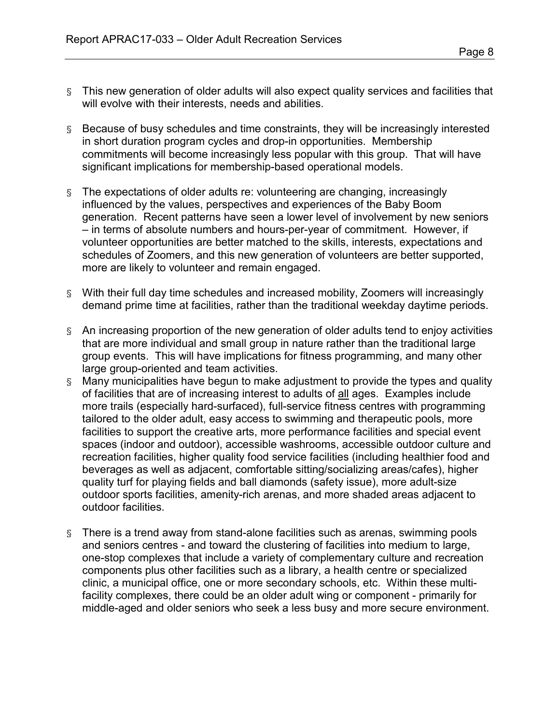- § This new generation of older adults will also expect quality services and facilities that will evolve with their interests, needs and abilities.
- § Because of busy schedules and time constraints, they will be increasingly interested in short duration program cycles and drop-in opportunities. Membership commitments will become increasingly less popular with this group. That will have significant implications for membership-based operational models.
- § The expectations of older adults re: volunteering are changing, increasingly influenced by the values, perspectives and experiences of the Baby Boom generation. Recent patterns have seen a lower level of involvement by new seniors – in terms of absolute numbers and hours-per-year of commitment. However, if volunteer opportunities are better matched to the skills, interests, expectations and schedules of Zoomers, and this new generation of volunteers are better supported, more are likely to volunteer and remain engaged.
- § With their full day time schedules and increased mobility, Zoomers will increasingly demand prime time at facilities, rather than the traditional weekday daytime periods.
- § An increasing proportion of the new generation of older adults tend to enjoy activities that are more individual and small group in nature rather than the traditional large group events. This will have implications for fitness programming, and many other large group-oriented and team activities.
- § Many municipalities have begun to make adjustment to provide the types and quality of facilities that are of increasing interest to adults of all ages. Examples include more trails (especially hard-surfaced), full-service fitness centres with programming tailored to the older adult, easy access to swimming and therapeutic pools, more facilities to support the creative arts, more performance facilities and special event spaces (indoor and outdoor), accessible washrooms, accessible outdoor culture and recreation facilities, higher quality food service facilities (including healthier food and beverages as well as adjacent, comfortable sitting/socializing areas/cafes), higher quality turf for playing fields and ball diamonds (safety issue), more adult-size outdoor sports facilities, amenity-rich arenas, and more shaded areas adjacent to outdoor facilities.
- § There is a trend away from stand-alone facilities such as arenas, swimming pools and seniors centres - and toward the clustering of facilities into medium to large, one-stop complexes that include a variety of complementary culture and recreation components plus other facilities such as a library, a health centre or specialized clinic, a municipal office, one or more secondary schools, etc. Within these multifacility complexes, there could be an older adult wing or component - primarily for middle-aged and older seniors who seek a less busy and more secure environment.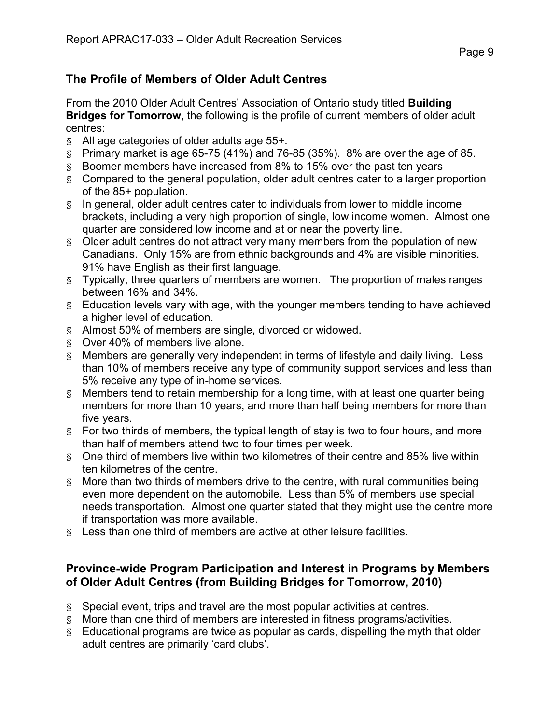### **The Profile of Members of Older Adult Centres**

From the 2010 Older Adult Centres' Association of Ontario study titled **Building Bridges for Tomorrow**, the following is the profile of current members of older adult centres:

- § All age categories of older adults age 55+.
- $\overline{S}$  Primary market is age 65-75 (41%) and 76-85 (35%). 8% are over the age of 85.
- § Boomer members have increased from 8% to 15% over the past ten years
- § Compared to the general population, older adult centres cater to a larger proportion of the 85+ population.
- § In general, older adult centres cater to individuals from lower to middle income brackets, including a very high proportion of single, low income women. Almost one quarter are considered low income and at or near the poverty line.
- § Older adult centres do not attract very many members from the population of new Canadians. Only 15% are from ethnic backgrounds and 4% are visible minorities. 91% have English as their first language.
- § Typically, three quarters of members are women. The proportion of males ranges between 16% and 34%.
- § Education levels vary with age, with the younger members tending to have achieved a higher level of education.
- § Almost 50% of members are single, divorced or widowed.
- § Over 40% of members live alone.
- § Members are generally very independent in terms of lifestyle and daily living. Less than 10% of members receive any type of community support services and less than 5% receive any type of in-home services.
- § Members tend to retain membership for a long time, with at least one quarter being members for more than 10 years, and more than half being members for more than five years.
- § For two thirds of members, the typical length of stay is two to four hours, and more than half of members attend two to four times per week.
- § One third of members live within two kilometres of their centre and 85% live within ten kilometres of the centre.
- § More than two thirds of members drive to the centre, with rural communities being even more dependent on the automobile. Less than 5% of members use special needs transportation. Almost one quarter stated that they might use the centre more if transportation was more available.
- § Less than one third of members are active at other leisure facilities.

### **Province-wide Program Participation and Interest in Programs by Members of Older Adult Centres (from Building Bridges for Tomorrow, 2010)**

- § Special event, trips and travel are the most popular activities at centres.
- § More than one third of members are interested in fitness programs/activities.
- § Educational programs are twice as popular as cards, dispelling the myth that older adult centres are primarily 'card clubs'.